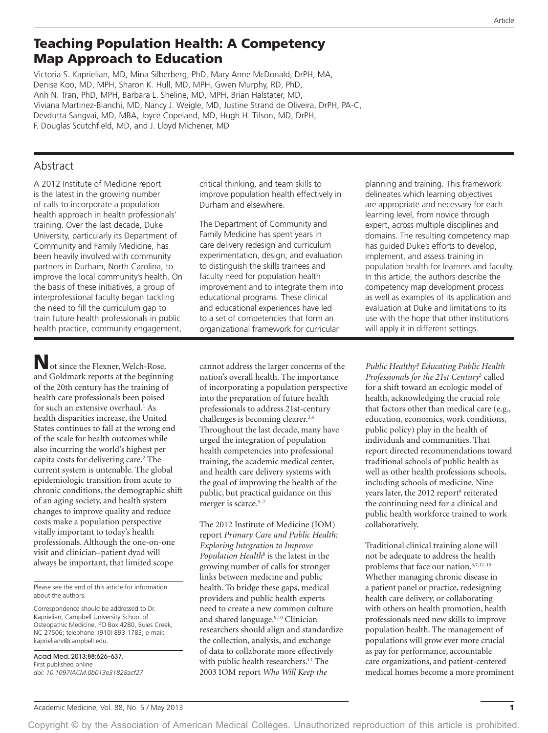## Teaching Population Health: A Competency Map Approach to Education

Victoria S. Kaprielian, MD, Mina Silberberg, PhD, Mary Anne McDonald, DrPH, MA, Denise Koo, MD, MPH, Sharon K. Hull, MD, MPH, Gwen Murphy, RD, PhD, Anh N. Tran, PhD, MPH, Barbara L. Sheline, MD, MPH, Brian Halstater, MD, Viviana Martinez-Bianchi, MD, Nancy J. Weigle, MD, Justine Strand de Oliveira, DrPH, PA-C, Devdutta Sangvai, MD, MBA, Joyce Copeland, MD, Hugh H. Tilson, MD, DrPH, F. Douglas Scutchfield, MD, and J. Lloyd Michener, MD

## Abstract

A 2012 Institute of Medicine report is the latest in the growing number of calls to incorporate a population health approach in health professionals' training. Over the last decade, Duke University, particularly its Department of Community and Family Medicine, has been heavily involved with community partners in Durham, North Carolina, to improve the local community's health. On the basis of these initiatives, a group of interprofessional faculty began tackling the need to fill the curriculum gap to train future health professionals in public health practice, community engagement,

Not since the Flexner, Welch-Rose, and Goldmark reports at the beginning of the 20th century has the training of health care professionals been poised for such an extensive overhaul.<sup>1</sup> As health disparities increase, the United States continues to fall at the wrong end of the scale for health outcomes while also incurring the world's highest per capita costs for delivering care.<sup>2</sup> The current system is untenable. The global epidemiologic transition from acute to chronic conditions, the demographic shift of an aging society, and health system changes to improve quality and reduce costs make a population perspective vitally important to today's health professionals. Although the one-on-one visit and clinician–patient dyad will always be important, that limited scope

Please see the end of this article for information about the authors.

Correspondence should be addressed to Dr. Kaprielian, Campbell University School of Osteopathic Medicine, PO Box 4280, Buies Creek, NC 27506; telephone: (910) 893-1783; e-mail: [kaprielianv@campbell.edu.](mailto:kaprielianv@campbell.edu)

Acad Med. 2013;88:626–637. First published online *doi: 10.1097/ACM.0b013e31828acf27* critical thinking, and team skills to improve population health effectively in Durham and elsewhere.

The Department of Community and Family Medicine has spent years in care delivery redesign and curriculum experimentation, design, and evaluation to distinguish the skills trainees and faculty need for population health improvement and to integrate them into educational programs. These clinical and educational experiences have led to a set of competencies that form an organizational framework for curricular

cannot address the larger concerns of the nation's overall health. The importance of incorporating a population perspective into the preparation of future health professionals to address 21st-century challenges is becoming clearer.3,4 Throughout the last decade, many have urged the integration of population health competencies into professional training, the academic medical center, and health care delivery systems with the goal of improving the health of the public, but practical guidance on this merger is scarce.<sup>5-7</sup>

The 2012 Institute of Medicine (IOM) report *Primary Care and Public Health: Exploring Integration to Improve*  Population Health<sup>8</sup> is the latest in the growing number of calls for stronger links between medicine and public health. To bridge these gaps, medical providers and public health experts need to create a new common culture and shared language.9,10 Clinician researchers should align and standardize the collection, analysis, and exchange of data to collaborate more effectively with public health researchers.<sup>11</sup> The 2003 IOM report *Who Will Keep the* 

planning and training. This framework delineates which learning objectives are appropriate and necessary for each learning level, from novice through expert, across multiple disciplines and domains. The resulting competency map has guided Duke's efforts to develop, implement, and assess training in population health for learners and faculty. In this article, the authors describe the competency map development process as well as examples of its application and evaluation at Duke and limitations to its use with the hope that other institutions will apply it in different settings.

*Public Healthy? Educating Public Health*  Professionals for the 21st Century<sup>5</sup> called for a shift toward an ecologic model of health, acknowledging the crucial role that factors other than medical care (e.g., education, economics, work conditions, public policy) play in the health of individuals and communities. That report directed recommendations toward traditional schools of public health as well as other health professions schools, including schools of medicine. Nine years later, the 2012 report<sup>8</sup> reiterated the continuing need for a clinical and public health workforce trained to work collaboratively.

Traditional clinical training alone will not be adequate to address the health problems that face our nation.3,7,12–15 Whether managing chronic disease in a patient panel or practice, redesigning health care delivery, or collaborating with others on health promotion, health professionals need new skills to improve population health. The management of populations will grow ever more crucial as pay for performance, accountable care organizations, and patient-centered medical homes become a more prominent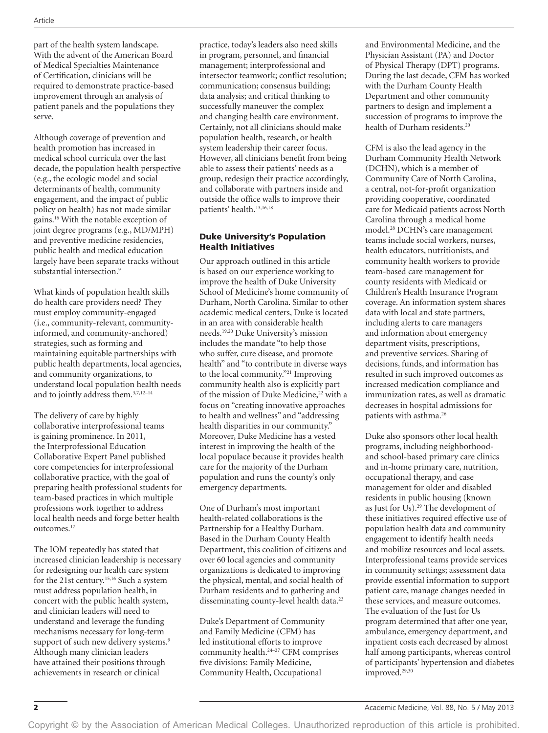part of the health system landscape. With the advent of the American Board of Medical Specialties Maintenance of Certification, clinicians will be required to demonstrate practice-based improvement through an analysis of patient panels and the populations they serve.

Although coverage of prevention and health promotion has increased in medical school curricula over the last decade, the population health perspective (e.g., the ecologic model and social determinants of health, community engagement, and the impact of public policy on health) has not made similar gains.16 With the notable exception of joint degree programs (e.g., MD/MPH) and preventive medicine residencies, public health and medical education largely have been separate tracks without substantial intersection.<sup>9</sup>

What kinds of population health skills do health care providers need? They must employ community-engaged (i.e., community-relevant, communityinformed, and community-anchored) strategies, such as forming and maintaining equitable partnerships with public health departments, local agencies, and community organizations, to understand local population health needs and to jointly address them.3,7,12–14

The delivery of care by highly collaborative interprofessional teams is gaining prominence. In 2011, the Interprofessional Education Collaborative Expert Panel published core competencies for interprofessional collaborative practice, with the goal of preparing health professional students for team-based practices in which multiple professions work together to address local health needs and forge better health outcomes.17

The IOM repeatedly has stated that increased clinician leadership is necessary for redesigning our health care system for the 21st century.15,16 Such a system must address population health, in concert with the public health system, and clinician leaders will need to understand and leverage the funding mechanisms necessary for long-term support of such new delivery systems.<sup>9</sup> Although many clinician leaders have attained their positions through achievements in research or clinical

practice, today's leaders also need skills in program, personnel, and financial management; interprofessional and intersector teamwork; conflict resolution; communication; consensus building; data analysis; and critical thinking to successfully maneuver the complex and changing health care environment. Certainly, not all clinicians should make population health, research, or health system leadership their career focus. However, all clinicians benefit from being able to assess their patients' needs as a group, redesign their practice accordingly, and collaborate with partners inside and outside the office walls to improve their patients' health.13,16,18

### Duke University's Population Health Initiatives

Our approach outlined in this article is based on our experience working to improve the health of Duke University School of Medicine's home community of Durham, North Carolina. Similar to other academic medical centers, Duke is located in an area with considerable health needs.19,20 Duke University's mission includes the mandate "to help those who suffer, cure disease, and promote health" and "to contribute in diverse ways to the local community."21 Improving community health also is explicitly part of the mission of Duke Medicine,<sup>22</sup> with a focus on "creating innovative approaches to health and wellness" and "addressing health disparities in our community." Moreover, Duke Medicine has a vested interest in improving the health of the local populace because it provides health care for the majority of the Durham population and runs the county's only emergency departments.

One of Durham's most important health-related collaborations is the Partnership for a Healthy Durham. Based in the Durham County Health Department, this coalition of citizens and over 60 local agencies and community organizations is dedicated to improving the physical, mental, and social health of Durham residents and to gathering and disseminating county-level health data.<sup>23</sup>

Duke's Department of Community and Family Medicine (CFM) has led institutional efforts to improve community health.24–27 CFM comprises five divisions: Family Medicine, Community Health, Occupational

and Environmental Medicine, and the Physician Assistant (PA) and Doctor of Physical Therapy (DPT) programs. During the last decade, CFM has worked with the Durham County Health Department and other community partners to design and implement a succession of programs to improve the health of Durham residents.<sup>20</sup>

CFM is also the lead agency in the Durham Community Health Network (DCHN), which is a member of Community Care of North Carolina, a central, not-for-profit organization providing cooperative, coordinated care for Medicaid patients across North Carolina through a medical home model.28 DCHN's care management teams include social workers, nurses, health educators, nutritionists, and community health workers to provide team-based care management for county residents with Medicaid or Children's Health Insurance Program coverage. An information system shares data with local and state partners, including alerts to care managers and information about emergency department visits, prescriptions, and preventive services. Sharing of decisions, funds, and information has resulted in such improved outcomes as increased medication compliance and immunization rates, as well as dramatic decreases in hospital admissions for patients with asthma.26

Duke also sponsors other local health programs, including neighborhoodand school-based primary care clinics and in-home primary care, nutrition, occupational therapy, and case management for older and disabled residents in public housing (known as Just for Us).<sup>29</sup> The development of these initiatives required effective use of population health data and community engagement to identify health needs and mobilize resources and local assets. Interprofessional teams provide services in community settings; assessment data provide essential information to support patient care, manage changes needed in these services, and measure outcomes. The evaluation of the Just for Us program determined that after one year, ambulance, emergency department, and inpatient costs each decreased by almost half among participants, whereas control of participants' hypertension and diabetes improved.29,30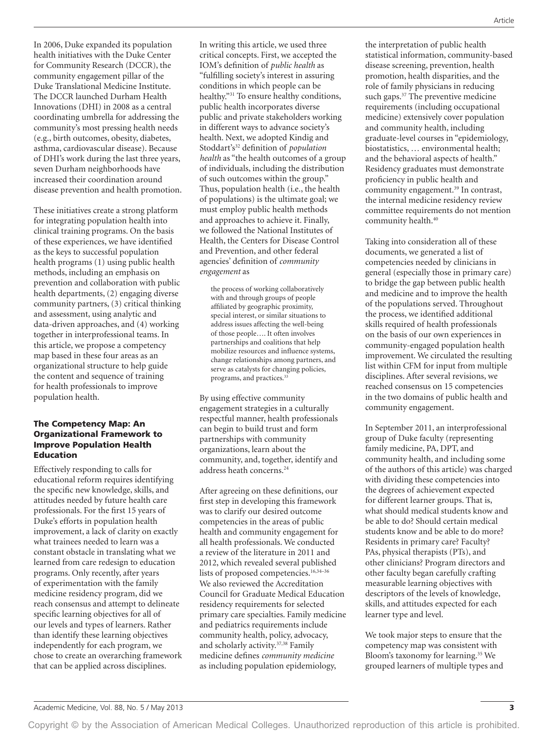In 2006, Duke expanded its population health initiatives with the Duke Center for Community Research (DCCR), the community engagement pillar of the Duke Translational Medicine Institute. The DCCR launched Durham Health Innovations (DHI) in 2008 as a central coordinating umbrella for addressing the community's most pressing health needs (e.g., birth outcomes, obesity, diabetes, asthma, cardiovascular disease). Because of DHI's work during the last three years, seven Durham neighborhoods have increased their coordination around disease prevention and health promotion.

These initiatives create a strong platform for integrating population health into clinical training programs. On the basis of these experiences, we have identified as the keys to successful population health programs (1) using public health methods, including an emphasis on prevention and collaboration with public health departments, (2) engaging diverse community partners, (3) critical thinking and assessment, using analytic and data-driven approaches, and (4) working together in interprofessional teams. In this article, we propose a competency map based in these four areas as an organizational structure to help guide the content and sequence of training for health professionals to improve population health.

#### The Competency Map: An Organizational Framework to Improve Population Health Education

Effectively responding to calls for educational reform requires identifying the specific new knowledge, skills, and attitudes needed by future health care professionals. For the first 15 years of Duke's efforts in population health improvement, a lack of clarity on exactly what trainees needed to learn was a constant obstacle in translating what we learned from care redesign to education programs. Only recently, after years of experimentation with the family medicine residency program, did we reach consensus and attempt to delineate specific learning objectives for all of our levels and types of learners. Rather than identify these learning objectives independently for each program, we chose to create an overarching framework that can be applied across disciplines.

In writing this article, we used three critical concepts. First, we accepted the IOM's definition of *public health* as "fulfilling society's interest in assuring conditions in which people can be healthy."31 To ensure healthy conditions, public health incorporates diverse public and private stakeholders working in different ways to advance society's health. Next, we adopted Kindig and Stoddart's<sup>32</sup> definition of *population health* as "the health outcomes of a group of individuals, including the distribution of such outcomes within the group." Thus, population health (i.e., the health of populations) is the ultimate goal; we must employ public health methods and approaches to achieve it. Finally, we followed the National Institutes of Health, the Centers for Disease Control and Prevention, and other federal agencies' definition of *community engagement* as

the process of working collaboratively with and through groups of people affiliated by geographic proximity, special interest, or similar situations to address issues affecting the well-being of those people…. It often involves partnerships and coalitions that help mobilize resources and influence systems, change relationships among partners, and serve as catalysts for changing policies, programs, and practices.33

By using effective community engagement strategies in a culturally respectful manner, health professionals can begin to build trust and form partnerships with community organizations, learn about the community, and, together, identify and address heath concerns.<sup>24</sup>

After agreeing on these definitions, our first step in developing this framework was to clarify our desired outcome competencies in the areas of public health and community engagement for all health professionals. We conducted a review of the literature in 2011 and 2012, which revealed several published lists of proposed competencies.16,34–36 We also reviewed the Accreditation Council for Graduate Medical Education residency requirements for selected primary care specialties. Family medicine and pediatrics requirements include community health, policy, advocacy, and scholarly activity.37,38 Family medicine defines *community medicine* as including population epidemiology,

the interpretation of public health statistical information, community-based disease screening, prevention, health promotion, health disparities, and the role of family physicians in reducing such gaps.<sup>37</sup> The preventive medicine requirements (including occupational medicine) extensively cover population and community health, including graduate-level courses in "epidemiology, biostatistics, … environmental health; and the behavioral aspects of health." Residency graduates must demonstrate proficiency in public health and community engagement.<sup>39</sup> In contrast, the internal medicine residency review committee requirements do not mention community health.<sup>40</sup>

Taking into consideration all of these documents, we generated a list of competencies needed by clinicians in general (especially those in primary care) to bridge the gap between public health and medicine and to improve the health of the populations served. Throughout the process, we identified additional skills required of health professionals on the basis of our own experiences in community-engaged population health improvement. We circulated the resulting list within CFM for input from multiple disciplines. After several revisions, we reached consensus on 15 competencies in the two domains of public health and community engagement.

In September 2011, an interprofessional group of Duke faculty (representing family medicine, PA, DPT, and community health, and including some of the authors of this article) was charged with dividing these competencies into the degrees of achievement expected for different learner groups. That is, what should medical students know and be able to do? Should certain medical students know and be able to do more? Residents in primary care? Faculty? PAs, physical therapists (PTs), and other clinicians? Program directors and other faculty began carefully crafting measurable learning objectives with descriptors of the levels of knowledge, skills, and attitudes expected for each learner type and level.

We took major steps to ensure that the competency map was consistent with Bloom's taxonomy for learning.35 We grouped learners of multiple types and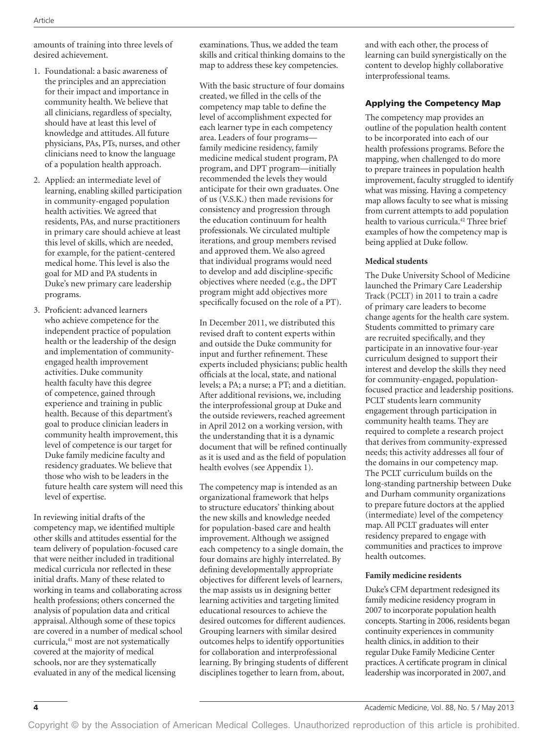amounts of training into three levels of desired achievement.

- 1. Foundational: a basic awareness of the principles and an appreciation for their impact and importance in community health. We believe that all clinicians, regardless of specialty, should have at least this level of knowledge and attitudes. All future physicians, PAs, PTs, nurses, and other clinicians need to know the language of a population health approach.
- 2. Applied: an intermediate level of learning, enabling skilled participation in community-engaged population health activities. We agreed that residents, PAs, and nurse practitioners in primary care should achieve at least this level of skills, which are needed, for example, for the patient-centered medical home. This level is also the goal for MD and PA students in Duke's new primary care leadership programs.
- 3. Proficient: advanced learners who achieve competence for the independent practice of population health or the leadership of the design and implementation of communityengaged health improvement activities. Duke community health faculty have this degree of competence, gained through experience and training in public health. Because of this department's goal to produce clinician leaders in community health improvement, this level of competence is our target for Duke family medicine faculty and residency graduates. We believe that those who wish to be leaders in the future health care system will need this level of expertise.

In reviewing initial drafts of the competency map, we identified multiple other skills and attitudes essential for the team delivery of population-focused care that were neither included in traditional medical curricula nor reflected in these initial drafts. Many of these related to working in teams and collaborating across health professions; others concerned the analysis of population data and critical appraisal. Although some of these topics are covered in a number of medical school curricula,41 most are not systematically covered at the majority of medical schools, nor are they systematically evaluated in any of the medical licensing

examinations. Thus, we added the team skills and critical thinking domains to the map to address these key competencies.

With the basic structure of four domains created, we filled in the cells of the competency map table to define the level of accomplishment expected for each learner type in each competency area. Leaders of four programs family medicine residency, family medicine medical student program, PA program, and DPT program—initially recommended the levels they would anticipate for their own graduates. One of us (V.S.K.) then made revisions for consistency and progression through the education continuum for health professionals. We circulated multiple iterations, and group members revised and approved them. We also agreed that individual programs would need to develop and add discipline-specific objectives where needed (e.g., the DPT program might add objectives more specifically focused on the role of a PT).

In December 2011, we distributed this revised draft to content experts within and outside the Duke community for input and further refinement. These experts included physicians; public health officials at the local, state, and national levels; a PA; a nurse; a PT; and a dietitian. After additional revisions, we, including the interprofessional group at Duke and the outside reviewers, reached agreement in April 2012 on a working version, with the understanding that it is a dynamic document that will be refined continually as it is used and as the field of population health evolves (see Appendix 1).

The competency map is intended as an organizational framework that helps to structure educators' thinking about the new skills and knowledge needed for population-based care and health improvement. Although we assigned each competency to a single domain, the four domains are highly interrelated. By defining developmentally appropriate objectives for different levels of learners, the map assists us in designing better learning activities and targeting limited educational resources to achieve the desired outcomes for different audiences. Grouping learners with similar desired outcomes helps to identify opportunities for collaboration and interprofessional learning. By bringing students of different disciplines together to learn from, about,

and with each other, the process of learning can build synergistically on the content to develop highly collaborative interprofessional teams.

### Applying the Competency Map

The competency map provides an outline of the population health content to be incorporated into each of our health professions programs. Before the mapping, when challenged to do more to prepare trainees in population health improvement, faculty struggled to identify what was missing. Having a competency map allows faculty to see what is missing from current attempts to add population health to various curricula.<sup>42</sup> Three brief examples of how the competency map is being applied at Duke follow.

#### **Medical students**

The Duke University School of Medicine launched the Primary Care Leadership Track (PCLT) in 2011 to train a cadre of primary care leaders to become change agents for the health care system. Students committed to primary care are recruited specifically, and they participate in an innovative four-year curriculum designed to support their interest and develop the skills they need for community-engaged, populationfocused practice and leadership positions. PCLT students learn community engagement through participation in community health teams. They are required to complete a research project that derives from community-expressed needs; this activity addresses all four of the domains in our competency map. The PCLT curriculum builds on the long-standing partnership between Duke and Durham community organizations to prepare future doctors at the applied (intermediate) level of the competency map. All PCLT graduates will enter residency prepared to engage with communities and practices to improve health outcomes.

#### **Family medicine residents**

Duke's CFM department redesigned its family medicine residency program in 2007 to incorporate population health concepts. Starting in 2006, residents began continuity experiences in community health clinics, in addition to their regular Duke Family Medicine Center practices. A certificate program in clinical leadership was incorporated in 2007, and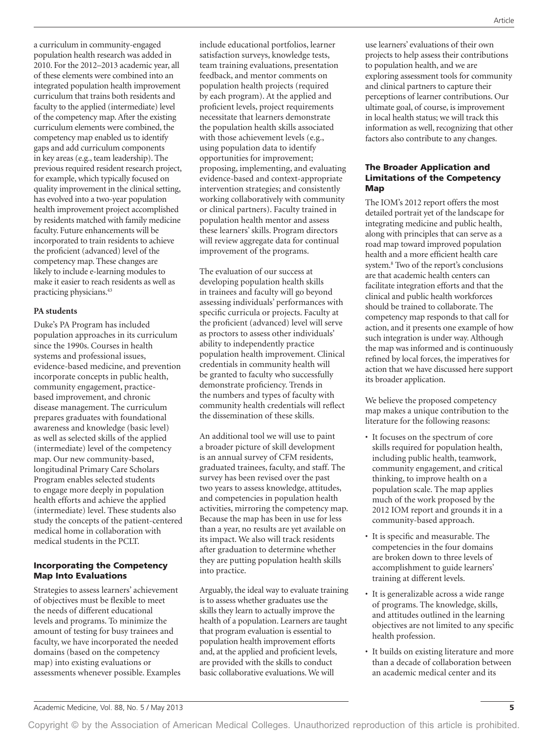a curriculum in community-engaged population health research was added in 2010. For the 2012–2013 academic year, all of these elements were combined into an integrated population health improvement curriculum that trains both residents and faculty to the applied (intermediate) level of the competency map. After the existing curriculum elements were combined, the competency map enabled us to identify gaps and add curriculum components in key areas (e.g., team leadership). The previous required resident research project, for example, which typically focused on quality improvement in the clinical setting, has evolved into a two-year population health improvement project accomplished by residents matched with family medicine faculty. Future enhancements will be incorporated to train residents to achieve the proficient (advanced) level of the competency map. These changes are likely to include e-learning modules to make it easier to reach residents as well as practicing physicians.43

### **PA students**

Duke's PA Program has included population approaches in its curriculum since the 1990s. Courses in health systems and professional issues, evidence-based medicine, and prevention incorporate concepts in public health, community engagement, practicebased improvement, and chronic disease management. The curriculum prepares graduates with foundational awareness and knowledge (basic level) as well as selected skills of the applied (intermediate) level of the competency map. Our new community-based, longitudinal Primary Care Scholars Program enables selected students to engage more deeply in population health efforts and achieve the applied (intermediate) level. These students also study the concepts of the patient-centered medical home in collaboration with medical students in the PCLT.

#### Incorporating the Competency Map Into Evaluations

Strategies to assess learners' achievement of objectives must be flexible to meet the needs of different educational levels and programs. To minimize the amount of testing for busy trainees and faculty, we have incorporated the needed domains (based on the competency map) into existing evaluations or assessments whenever possible. Examples include educational portfolios, learner satisfaction surveys, knowledge tests, team training evaluations, presentation feedback, and mentor comments on population health projects (required by each program). At the applied and proficient levels, project requirements necessitate that learners demonstrate the population health skills associated with those achievement levels (e.g., using population data to identify opportunities for improvement; proposing, implementing, and evaluating evidence-based and context-appropriate intervention strategies; and consistently working collaboratively with community or clinical partners). Faculty trained in population health mentor and assess these learners' skills. Program directors will review aggregate data for continual improvement of the programs.

The evaluation of our success at developing population health skills in trainees and faculty will go beyond assessing individuals' performances with specific curricula or projects. Faculty at the proficient (advanced) level will serve as proctors to assess other individuals' ability to independently practice population health improvement. Clinical credentials in community health will be granted to faculty who successfully demonstrate proficiency. Trends in the numbers and types of faculty with community health credentials will reflect the dissemination of these skills.

An additional tool we will use to paint a broader picture of skill development is an annual survey of CFM residents, graduated trainees, faculty, and staff. The survey has been revised over the past two years to assess knowledge, attitudes, and competencies in population health activities, mirroring the competency map. Because the map has been in use for less than a year, no results are yet available on its impact. We also will track residents after graduation to determine whether they are putting population health skills into practice.

Arguably, the ideal way to evaluate training is to assess whether graduates use the skills they learn to actually improve the health of a population. Learners are taught that program evaluation is essential to population health improvement efforts and, at the applied and proficient levels, are provided with the skills to conduct basic collaborative evaluations. We will

use learners' evaluations of their own projects to help assess their contributions to population health, and we are exploring assessment tools for community and clinical partners to capture their perceptions of learner contributions. Our ultimate goal, of course, is improvement in local health status; we will track this information as well, recognizing that other factors also contribute to any changes.

#### The Broader Application and Limitations of the Competency Map

The IOM's 2012 report offers the most detailed portrait yet of the landscape for integrating medicine and public health, along with principles that can serve as a road map toward improved population health and a more efficient health care system.8 Two of the report's conclusions are that academic health centers can facilitate integration efforts and that the clinical and public health workforces should be trained to collaborate. The competency map responds to that call for action, and it presents one example of how such integration is under way. Although the map was informed and is continuously refined by local forces, the imperatives for action that we have discussed here support its broader application.

We believe the proposed competency map makes a unique contribution to the literature for the following reasons:

- • It focuses on the spectrum of core skills required for population health, including public health, teamwork, community engagement, and critical thinking, to improve health on a population scale. The map applies much of the work proposed by the 2012 IOM report and grounds it in a community-based approach.
- It is specific and measurable. The competencies in the four domains are broken down to three levels of accomplishment to guide learners' training at different levels.
- It is generalizable across a wide range of programs. The knowledge, skills, and attitudes outlined in the learning objectives are not limited to any specific health profession.
- It builds on existing literature and more than a decade of collaboration between an academic medical center and its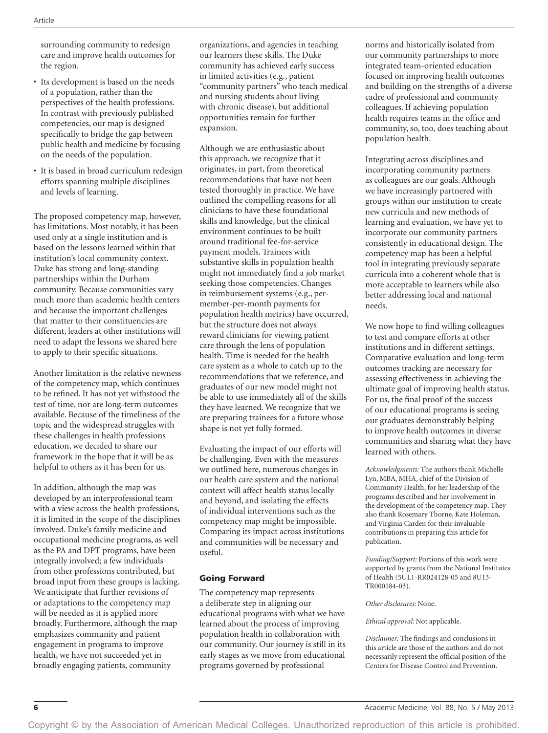surrounding community to redesign care and improve health outcomes for the region.

- Its development is based on the needs of a population, rather than the perspectives of the health professions. In contrast with previously published competencies, our map is designed specifically to bridge the gap between public health and medicine by focusing on the needs of the population.
- It is based in broad curriculum redesign efforts spanning multiple disciplines and levels of learning.

The proposed competency map, however, has limitations. Most notably, it has been used only at a single institution and is based on the lessons learned within that institution's local community context. Duke has strong and long-standing partnerships within the Durham community. Because communities vary much more than academic health centers and because the important challenges that matter to their constituencies are different, leaders at other institutions will need to adapt the lessons we shared here to apply to their specific situations.

Another limitation is the relative newness of the competency map, which continues to be refined. It has not yet withstood the test of time, nor are long-term outcomes available. Because of the timeliness of the topic and the widespread struggles with these challenges in health professions education, we decided to share our framework in the hope that it will be as helpful to others as it has been for us.

In addition, although the map was developed by an interprofessional team with a view across the health professions, it is limited in the scope of the disciplines involved. Duke's family medicine and occupational medicine programs, as well as the PA and DPT programs, have been integrally involved; a few individuals from other professions contributed, but broad input from these groups is lacking. We anticipate that further revisions of or adaptations to the competency map will be needed as it is applied more broadly. Furthermore, although the map emphasizes community and patient engagement in programs to improve health, we have not succeeded yet in broadly engaging patients, community

organizations, and agencies in teaching our learners these skills. The Duke community has achieved early success in limited activities (e.g., patient "community partners" who teach medical and nursing students about living with chronic disease), but additional opportunities remain for further expansion.

Although we are enthusiastic about this approach, we recognize that it originates, in part, from theoretical recommendations that have not been tested thoroughly in practice. We have outlined the compelling reasons for all clinicians to have these foundational skills and knowledge, but the clinical environment continues to be built around traditional fee-for-service payment models. Trainees with substantive skills in population health might not immediately find a job market seeking those competencies. Changes in reimbursement systems (e.g., permember-per-month payments for population health metrics) have occurred, but the structure does not always reward clinicians for viewing patient care through the lens of population health. Time is needed for the health care system as a whole to catch up to the recommendations that we reference, and graduates of our new model might not be able to use immediately all of the skills they have learned. We recognize that we are preparing trainees for a future whose shape is not yet fully formed.

Evaluating the impact of our efforts will be challenging. Even with the measures we outlined here, numerous changes in our health care system and the national context will affect health status locally and beyond, and isolating the effects of individual interventions such as the competency map might be impossible. Comparing its impact across institutions and communities will be necessary and useful.

#### Going Forward

The competency map represents a deliberate step in aligning our educational programs with what we have learned about the process of improving population health in collaboration with our community. Our journey is still in its early stages as we move from educational programs governed by professional

norms and historically isolated from our community partnerships to more integrated team-oriented education focused on improving health outcomes and building on the strengths of a diverse cadre of professional and community colleagues. If achieving population health requires teams in the office and community, so, too, does teaching about population health.

Integrating across disciplines and incorporating community partners as colleagues are our goals. Although we have increasingly partnered with groups within our institution to create new curricula and new methods of learning and evaluation, we have yet to incorporate our community partners consistently in educational design. The competency map has been a helpful tool in integrating previously separate curricula into a coherent whole that is more acceptable to learners while also better addressing local and national needs.

We now hope to find willing colleagues to test and compare efforts at other institutions and in different settings. Comparative evaluation and long-term outcomes tracking are necessary for assessing effectiveness in achieving the ultimate goal of improving health status. For us, the final proof of the success of our educational programs is seeing our graduates demonstrably helping to improve health outcomes in diverse communities and sharing what they have learned with others.

*Acknowledgments:* The authors thank Michelle Lyn, MBA, MHA, chief of the Division of Community Health, for her leadership of the programs described and her involvement in the development of the competency map. They also thank Rosemary Thorne, Kate Holeman, and Virginia Carden for their invaluable contributions in preparing this article for publication.

*Funding/Support:* Portions of this work were supported by grants from the National Institutes of Health (5UL1-RR024128-05 and 8U13- TR000184-03).

#### *Other disclosures:* None.

#### *Ethical approval:* Not applicable.

*Disclaimer:* The findings and conclusions in this article are those of the authors and do not necessarily represent the official position of the Centers for Disease Control and Prevention.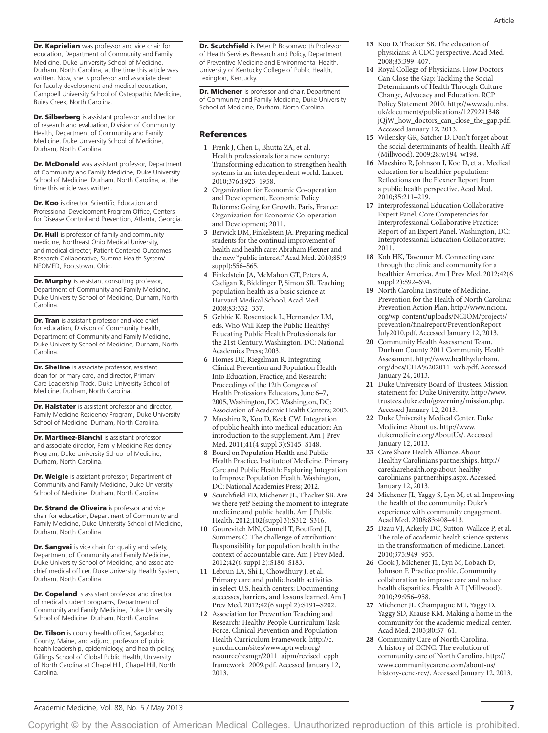Dr. Kaprielian was professor and vice chair for education, Department of Community and Family Medicine, Duke University School of Medicine, Durham, North Carolina, at the time this article was written. Now, she is professor and associate dean for faculty development and medical education, Campbell University School of Osteopathic Medicine, Buies Creek, North Carolina.

Dr. Silberberg is assistant professor and director of research and evaluation, Division of Community Health, Department of Community and Family Medicine, Duke University School of Medicine, Durham, North Carolina.

Dr. McDonald was assistant professor, Department of Community and Family Medicine, Duke University School of Medicine, Durham, North Carolina, at the time this article was written.

Dr. Koo is director, Scientific Education and Professional Development Program Office, Centers for Disease Control and Prevention, Atlanta, Georgia.

Dr. Hull is professor of family and community medicine, Northeast Ohio Medical University, and medical director, Patient Centered Outcomes Research Collaborative, Summa Health System/ NEOMED, Rootstown, Ohio.

Dr. Murphy is assistant consulting professor, Department of Community and Family Medicine, Duke University School of Medicine, Durham, North Carolina.

Dr. Tran is assistant professor and vice chief for education, Division of Community Health, Department of Community and Family Medicine, Duke University School of Medicine, Durham, North Carolina.

Dr. Sheline is associate professor, assistant dean for primary care, and director, Primary Care Leadership Track, Duke University School of Medicine, Durham, North Carolina.

Dr. Halstater is assistant professor and director. Family Medicine Residency Program, Duke University School of Medicine, Durham, North Carolina.

Dr. Martinez-Bianchi is assistant professor and associate director, Family Medicine Residency Program, Duke University School of Medicine, Durham, North Carolina.

Dr. Weigle is assistant professor, Department of Community and Family Medicine, Duke University School of Medicine, Durham, North Carolina.

Dr. Strand de Oliveira is professor and vice chair for education, Department of Community and Family Medicine, Duke University School of Medicine, Durham, North Carolina.

Dr. Sangvai is vice chair for quality and safety, Department of Community and Family Medicine, Duke University School of Medicine, and associate chief medical officer, Duke University Health System, Durham, North Carolina.

Dr. Copeland is assistant professor and director of medical student programs, Department of Community and Family Medicine, Duke University School of Medicine, Durham, North Carolina.

Dr. Tilson is county health officer, Sagadahoc County, Maine, and adjunct professor of public health leadership, epidemiology, and health policy, Gillings School of Global Public Health, University of North Carolina at Chapel Hill, Chapel Hill, North Carolina.

Dr. Scutchfield is Peter P. Bosomworth Professor of Health Services Research and Policy, Department of Preventive Medicine and Environmental Health, University of Kentucky College of Public Health, Lexington, Kentucky.

Dr. Michener is professor and chair, Department of Community and Family Medicine, Duke University School of Medicine, Durham, North Carolina.

#### References

- **1** Frenk J, Chen L, Bhutta ZA, et al. Health professionals for a new century: Transforming education to strengthen health systems in an interdependent world. Lancet. 2010;376:1923–1958.
- **2** Organization for Economic Co-operation and Development. Economic Policy Reforms: Going for Growth. Paris, France: Organization for Economic Co-operation and Development; 2011.
- **3** Berwick DM, Finkelstein JA. Preparing medical students for the continual improvement of health and health care: Abraham Flexner and the new "public interest." Acad Med. 2010;85(9 suppl):S56–S65.
- **4** Finkelstein JA, McMahon GT, Peters A, Cadigan R, Biddinger P, Simon SR. Teaching population health as a basic science at Harvard Medical School. Acad Med. 2008;83:332–337.
- **5** Gebbie K, Rosenstock L, Hernandez LM, eds. Who Will Keep the Public Healthy? Educating Public Health Professionals for the 21st Century. Washington, DC: National Academies Press; 2003.
- **6** Homes DE, Riegelman R. Integrating Clinical Prevention and Population Health Into Education, Practice, and Research: Proceedings of the 12th Congress of Health Professions Educators, June 6–7, 2005, Washington, DC. Washington, DC: Association of Academic Health Centers; 2005.
- **7** Maeshiro R, Koo D, Keck CW. Integration of public health into medical education: An introduction to the supplement. Am J Prev Med. 2011;41(4 suppl 3):S145–S148.
- **8** Board on Population Health and Public Health Practice, Institute of Medicine. Primary Care and Public Health: Exploring Integration to Improve Population Health. Washington, DC: National Academies Press; 2012.
- **9** Scutchfield FD, Michener JL, Thacker SB. Are we there yet? Seizing the moment to integrate medicine and public health. Am J Public Health. 2012;102(suppl 3):S312–S316.
- **10** Gourevitch MN, Cannell T, Boufford JI, Summers C. The challenge of attribution: Responsibility for population health in the context of accountable care. Am J Prev Med. 2012;42(6 suppl 2):S180–S183.
- **11** Lebrun LA, Shi L, Chowdhury J, et al. Primary care and public health activities in select U.S. health centers: Documenting successes, barriers, and lessons learned. Am J Prev Med. 2012;42(6 suppl 2):S191–S202.
- **12** Association for Prevention Teaching and Research; Healthy People Curriculum Task Force. Clinical Prevention and Population Health Curriculum Framework. http://c. ymcdn.com/sites/www.aptrweb.org/ resource/resmgr/2011\_ajpm/revised\_cpph\_ framework\_2009.pdf. Accessed January 12, 2013.
- **13** Koo D, Thacker SB. The education of physicians: A CDC perspective. Acad Med. 2008;83:399–407.
- **14** Royal College of Physicians. How Doctors Can Close the Gap: Tackling the Social Determinants of Health Through Culture Change, Advocacy and Education. RCP Policy Statement 2010. http://www.sdu.nhs. uk/documents/publications/1279291348\_ jQjW\_how\_doctors\_can\_close\_the\_gap.pdf. Accessed January 12, 2013.
- **15** Wilensky GR, Satcher D. Don't forget about the social determinants of health. Health Aff (Millwood). 2009;28:w194–w198.
- **16** Maeshiro R, Johnson I, Koo D, et al. Medical education for a healthier population: Reflections on the Flexner Report from a public health perspective. Acad Med. 2010;85:211–219.
- **17** Interprofessional Education Collaborative Expert Panel. Core Competencies for Interprofessional Collaborative Practice: Report of an Expert Panel. Washington, DC: Interprofessional Education Collaborative; 2011.
- **18** Koh HK, Tavenner M. Connecting care through the clinic and community for a healthier America. Am J Prev Med. 2012;42(6 suppl 2):S92–S94.
- **19** North Carolina Institute of Medicine. Prevention for the Health of North Carolina: Prevention Action Plan. http://www.nciom. org/wp-content/uploads/NCIOM/projects/ prevention/finalreport/PreventionReport-July2010.pdf. Accessed January 12, 2013.
- **20** Community Health Assessment Team. Durham County 2011 Community Health Assessment. http://www.healthydurham. org/docs/CHA%202011\_web.pdf. Accessed January 24, 2013.
- **21** Duke University Board of Trustees. Mission statement for Duke University. http://www. trustees.duke.edu/governing/mission.php. Accessed January 12, 2013.
- **22** Duke University Medical Center. Duke Medicine: About us. http://www. dukemedicine.org/AboutUs/. Accessed January 12, 2013.
- **23** Care Share Health Alliance. About Healthy Carolinians partnerships. http:// caresharehealth.org/about-healthycarolinians-partnerships.aspx. Accessed January 12, 2013.
- **24** Michener JL, Yaggy S, Lyn M, et al. Improving the health of the community: Duke's experience with community engagement. Acad Med. 2008;83:408–413.
- **25** Dzau VJ, Ackerly DC, Sutton-Wallace P, et al. The role of academic health science systems in the transformation of medicine. Lancet. 2010;375:949–953.
- **26** Cook J, Michener JL, Lyn M, Lobach D, Johnson F. Practice profile. Community collaboration to improve care and reduce health disparities. Health Aff (Millwood). 2010;29:956–958.
- **27** Michener JL, Champagne MT, Yaggy D, Yaggy SD, Krause KM. Making a home in the community for the academic medical center. Acad Med. 2005;80:57–61.
- **28** Community Care of North Carolina. A history of CCNC: The evolution of community care of North Carolina. http:// www.communitycarenc.com/about-us/ history-ccnc-rev/. Accessed January 12, 2013.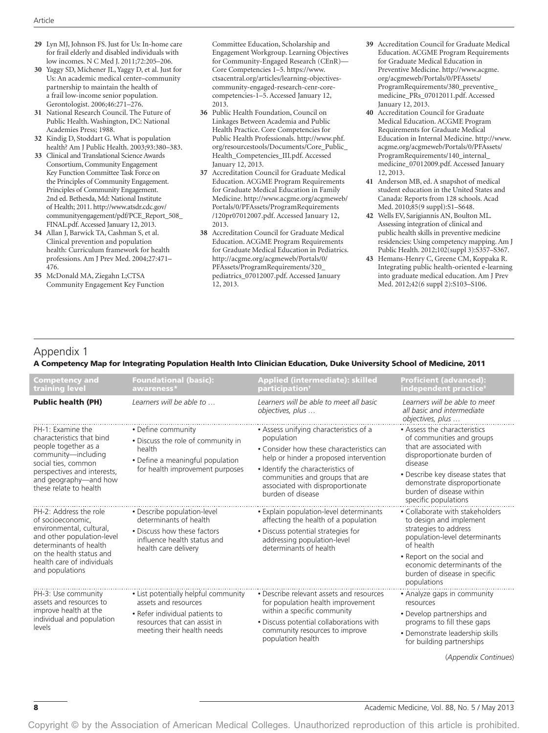- **29** Lyn MJ, Johnson FS. Just for Us: In-home care for frail elderly and disabled individuals with low incomes. N C Med J. 2011;72:205–206.
- **30** Yaggy SD, Michener JL, Yaggy D, et al. Just for Us: An academic medical center–community partnership to maintain the health of a frail low-income senior population. Gerontologist. 2006;46:271–276.
- **31** National Research Council. The Future of Public Health. Washington, DC: National Academies Press; 1988.
- **32** Kindig D, Stoddart G. What is population health? Am J Public Health. 2003;93:380–383.
- **33** Clinical and Translational Science Awards Consortium, Community Engagement Key Function Committee Task Force on the Principles of Community Engagement. Principles of Community Engagement. 2nd ed. Bethesda, Md: National Institute of Health; 2011. http://www.atsdr.cdc.gov/ communityengagement/pdf/PCE\_Report\_508\_ FINAL.pdf. Accessed January 12, 2013.
- **34** Allan J, Barwick TA, Cashman S, et al. Clinical prevention and population health: Curriculum framework for health professions. Am J Prev Med. 2004;27:471– 476.
- **35** McDonald MA, Ziegahn L;CTSA Community Engagement Key Function

Committee Education, Scholarship and Engagement Workgroup. Learning Objectives for Community-Engaged Research (CEnR)— Core Competencies 1–5. https://www. ctsacentral.org/articles/learning-objectivescommunity-engaged-research-cenr-corecompetencies-1–5. Accessed January 12, 2013.

- **36** Public Health Foundation, Council on Linkages Between Academia and Public Health Practice. Core Competencies for Public Health Professionals. http://www.phf. org/resourcestools/Documents/Core\_Public\_ Health\_Competencies\_III.pdf. Accessed January 12, 2013.
- **37** Accreditation Council for Graduate Medical Education. ACGME Program Requirements for Graduate Medical Education in Family Medicine. http://www.acgme.org/acgmeweb/ Portals/0/PFAssets/ProgramRequirements /120pr07012007.pdf. Accessed January 12, 2013.
- **38** Accreditation Council for Graduate Medical Education. ACGME Program Requirements for Graduate Medical Education in Pediatrics. http://acgme.org/acgmeweb/Portals/0/ PFAssets/ProgramRequirements/320\_ pediatrics\_07012007.pdf. Accessed January 12, 2013.
- **39** Accreditation Council for Graduate Medical Education. ACGME Program Requirements for Graduate Medical Education in Preventive Medicine. http://www.acgme. org/acgmeweb/Portals/0/PFAssets/ ProgramRequirements/380\_preventive\_ medicine\_PRs\_07012011.pdf. Accessed January 12, 2013.
- **40** Accreditation Council for Graduate Medical Education. ACGME Program Requirements for Graduate Medical Education in Internal Medicine. http://www. acgme.org/acgmeweb/Portals/0/PFAssets/ ProgramRequirements/140\_internal\_ medicine\_07012009.pdf. Accessed January 12, 2013.
- **41** Anderson MB, ed. A snapshot of medical student education in the United States and Canada: Reports from 128 schools. Acad Med. 2010;85(9 suppl):S1–S648.
- **42** Wells EV, Sarigiannis AN, Boulton ML. Assessing integration of clinical and public health skills in preventive medicine residencies: Using competency mapping. Am J Public Health. 2012;102(suppl 3):S357–S367.
- **43** Hemans-Henry C, Greene CM, Koppaka R. Integrating public health-oriented e-learning into graduate medical education. Am J Prev Med. 2012;42(6 suppl 2):S103–S106.

### Appendix 1

#### A Competency Map for Integrating Population Health Into Clinician Education, Duke University School of Medicine, 2011

| <b>Competency and</b><br>training level                                                                                                                                                                      | <b>Foundational (basic):</b><br>awareness*                                                                                                                   | <b>Applied (intermediate): skilled</b><br>participation <sup>1</sup>                                                                                                                                                                                                        | <b>Proficient (advanced):</b><br>independent practice <sup>+</sup>                                                                                                                                                                                       |
|--------------------------------------------------------------------------------------------------------------------------------------------------------------------------------------------------------------|--------------------------------------------------------------------------------------------------------------------------------------------------------------|-----------------------------------------------------------------------------------------------------------------------------------------------------------------------------------------------------------------------------------------------------------------------------|----------------------------------------------------------------------------------------------------------------------------------------------------------------------------------------------------------------------------------------------------------|
| <b>Public health (PH)</b>                                                                                                                                                                                    | Learners will be able to                                                                                                                                     | Learners will be able to meet all basic<br>objectives, plus                                                                                                                                                                                                                 | Learners will be able to meet<br>all basic and intermediate<br>objectives, plus                                                                                                                                                                          |
| PH-1: Examine the<br>characteristics that bind<br>people together as a<br>community-including<br>social ties, common<br>perspectives and interests,<br>and geography-and how<br>these relate to health       | • Define community<br>• Discuss the role of community in<br>health<br>• Define a meaningful population<br>for health improvement purposes                    | • Assess unifying characteristics of a<br>population<br>• Consider how these characteristics can<br>help or hinder a proposed intervention<br>• Identify the characteristics of<br>communities and groups that are<br>associated with disproportionate<br>burden of disease | • Assess the characteristics<br>of communities and groups<br>that are associated with<br>disproportionate burden of<br>disease<br>• Describe key disease states that<br>demonstrate disproportionate<br>burden of disease within<br>specific populations |
| PH-2: Address the role<br>of socioeconomic,<br>environmental, cultural,<br>and other population-level<br>determinants of health<br>on the health status and<br>health care of individuals<br>and populations | • Describe population-level<br>determinants of health<br>. Discuss how these factors<br>influence health status and<br>health care delivery                  | · Explain population-level determinants<br>affecting the health of a population<br>• Discuss potential strategies for<br>addressing population-level<br>determinants of health                                                                                              | • Collaborate with stakeholders<br>to design and implement<br>strategies to address<br>population-level determinants<br>of health<br>• Report on the social and<br>economic determinants of the<br>burden of disease in specific<br>populations          |
| PH-3: Use community<br>assets and resources to<br>improve health at the<br>individual and population<br>levels                                                                                               | • List potentially helpful community<br>assets and resources<br>• Refer individual patients to<br>resources that can assist in<br>meeting their health needs | • Describe relevant assets and resources<br>for population health improvement<br>within a specific community<br>• Discuss potential collaborations with<br>community resources to improve<br>population health                                                              | • Analyze gaps in community<br>resources<br>• Develop partnerships and<br>programs to fill these gaps<br>• Demonstrate leadership skills<br>for building partnerships<br>(Appendix Continues)                                                            |

Copyright © by the Association of American Medical Colleges. Unauthorized reproduction of this article is prohibited.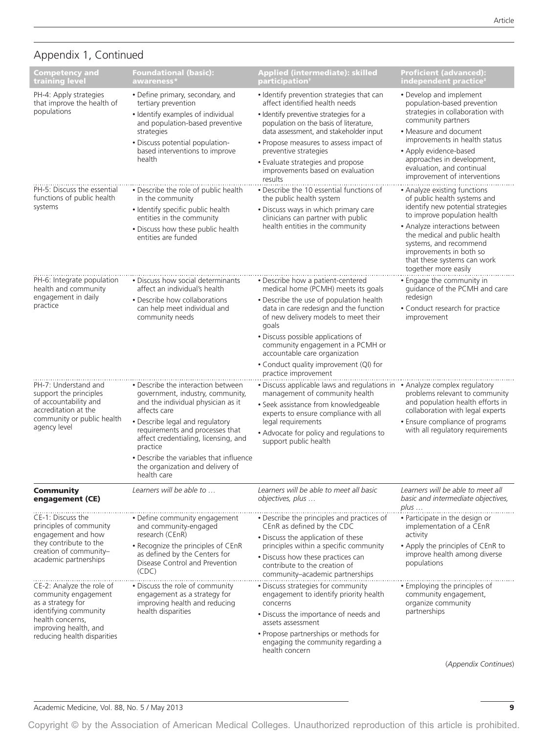| <b>Competency and</b><br>training level                                                                                                                                     | <b>Foundational (basic):</b><br>awareness*                                                                                                                                                                                                 | <b>Applied (intermediate): skilled</b><br>participation <sup>1</sup>                                                                                                                                                                                                                     | <b>Proficient (advanced):</b><br>independent practice <sup>®</sup>                                                                                                                                                                                                                               |
|-----------------------------------------------------------------------------------------------------------------------------------------------------------------------------|--------------------------------------------------------------------------------------------------------------------------------------------------------------------------------------------------------------------------------------------|------------------------------------------------------------------------------------------------------------------------------------------------------------------------------------------------------------------------------------------------------------------------------------------|--------------------------------------------------------------------------------------------------------------------------------------------------------------------------------------------------------------------------------------------------------------------------------------------------|
| PH-4: Apply strategies<br>that improve the health of<br>populations                                                                                                         | • Define primary, secondary, and<br>tertiary prevention<br>• Identify examples of individual<br>and population-based preventive<br>strategies<br>· Discuss potential population-                                                           | • Identify prevention strategies that can<br>affect identified health needs<br>• Identify preventive strategies for a<br>population on the basis of literature,<br>data assessment, and stakeholder input<br>• Propose measures to assess impact of                                      | • Develop and implement<br>population-based prevention<br>strategies in collaboration with<br>community partners<br>• Measure and document<br>improvements in health status<br>• Apply evidence-based<br>approaches in development,<br>evaluation, and continual<br>improvement of interventions |
|                                                                                                                                                                             | based interventions to improve<br>health                                                                                                                                                                                                   | preventive strategies<br>• Evaluate strategies and propose<br>improvements based on evaluation<br>results                                                                                                                                                                                |                                                                                                                                                                                                                                                                                                  |
| PH-5: Discuss the essential<br>functions of public health                                                                                                                   | • Describe the role of public health<br>in the community                                                                                                                                                                                   | • Describe the 10 essential functions of<br>the public health system                                                                                                                                                                                                                     | • Analyze existing functions<br>of public health systems and                                                                                                                                                                                                                                     |
| systems                                                                                                                                                                     | • Identify specific public health<br>entities in the community<br>• Discuss how these public health<br>entities are funded                                                                                                                 | · Discuss ways in which primary care<br>clinicians can partner with public<br>health entities in the community                                                                                                                                                                           | identify new potential strategies<br>to improve population health<br>• Analyze interactions between<br>the medical and public health<br>systems, and recommend<br>improvements in both so<br>that these systems can work<br>together more easily                                                 |
| PH-6: Integrate population<br>health and community<br>engagement in daily<br>practice                                                                                       | • Discuss how social determinants<br>affect an individual's health                                                                                                                                                                         | • Describe how a patient-centered<br>medical home (PCMH) meets its goals                                                                                                                                                                                                                 | • Engage the community in<br>guidance of the PCMH and care<br>redesign<br>• Conduct research for practice<br>improvement                                                                                                                                                                         |
|                                                                                                                                                                             | • Describe how collaborations<br>can help meet individual and<br>community needs                                                                                                                                                           | • Describe the use of population health<br>data in care redesign and the function<br>of new delivery models to meet their<br>goals<br>• Discuss possible applications of<br>community engagement in a PCMH or<br>accountable care organization<br>• Conduct quality improvement (QI) for |                                                                                                                                                                                                                                                                                                  |
|                                                                                                                                                                             |                                                                                                                                                                                                                                            | practice improvement                                                                                                                                                                                                                                                                     |                                                                                                                                                                                                                                                                                                  |
| PH-7: Understand and<br>support the principles<br>of accountability and<br>accreditation at the<br>community or public health<br>agency level                               | • Describe the interaction between<br>government, industry, community,<br>and the individual physician as it<br>affects care<br>• Describe legal and regulatory<br>requirements and processes that<br>affect credentialing, licensing, and | • Discuss applicable laws and regulations in • Analyze complex regulatory<br>management of community health<br>• Seek assistance from knowledgeable<br>experts to ensure compliance with all<br>legal requirements<br>• Advocate for policy and regulations to<br>support public health  | problems relevant to community<br>and population health efforts in<br>collaboration with legal experts<br>• Ensure compliance of programs<br>with all regulatory requirements                                                                                                                    |
|                                                                                                                                                                             | practice<br>• Describe the variables that influence<br>the organization and delivery of<br>health care                                                                                                                                     |                                                                                                                                                                                                                                                                                          |                                                                                                                                                                                                                                                                                                  |
| <b>Community</b><br>engagement (CE)                                                                                                                                         | Learners will be able to                                                                                                                                                                                                                   | Learners will be able to meet all basic<br>objectives, plus                                                                                                                                                                                                                              | Learners will be able to meet all<br>basic and intermediate objectives,<br>$plus \dots$                                                                                                                                                                                                          |
| CE-1: Discuss the<br>principles of community<br>engagement and how<br>they contribute to the<br>creation of community-<br>academic partnerships                             | • Define community engagement<br>and community-engaged<br>research (CEnR)<br>• Recognize the principles of CEnR<br>as defined by the Centers for<br>Disease Control and Prevention<br>(CDC)                                                | • Describe the principles and practices of<br>CEnR as defined by the CDC                                                                                                                                                                                                                 | • Participate in the design or<br>implementation of a CEnR                                                                                                                                                                                                                                       |
|                                                                                                                                                                             |                                                                                                                                                                                                                                            | • Discuss the application of these<br>principles within a specific community                                                                                                                                                                                                             | activity<br>• Apply the principles of CEnR to                                                                                                                                                                                                                                                    |
|                                                                                                                                                                             |                                                                                                                                                                                                                                            | • Discuss how these practices can<br>contribute to the creation of<br>community-academic partnerships                                                                                                                                                                                    | improve health among diverse<br>populations                                                                                                                                                                                                                                                      |
| CE-2: Analyze the role of<br>community engagement<br>as a strategy for<br>identifying community<br>health concerns,<br>improving health, and<br>reducing health disparities | • Discuss the role of community<br>engagement as a strategy for<br>improving health and reducing<br>health disparities                                                                                                                     | • Discuss strategies for community<br>engagement to identify priority health<br>concerns                                                                                                                                                                                                 | • Employing the principles of<br>community engagement,<br>organize community<br>partnerships                                                                                                                                                                                                     |
|                                                                                                                                                                             |                                                                                                                                                                                                                                            | • Discuss the importance of needs and<br>assets assessment                                                                                                                                                                                                                               |                                                                                                                                                                                                                                                                                                  |
|                                                                                                                                                                             |                                                                                                                                                                                                                                            | • Propose partnerships or methods for<br>engaging the community regarding a<br>health concern                                                                                                                                                                                            |                                                                                                                                                                                                                                                                                                  |

(*Appendix Continues*)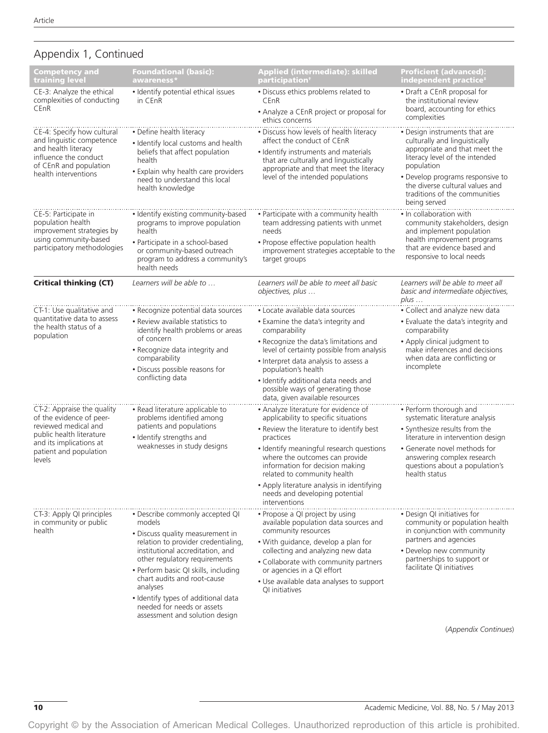| Competency and<br>training level                                                                                                                                                                                                                                                            | Foundational (basic):<br>awareness'                                                                                                                                                                                                                                                                                                                                                 | <b>Applied (intermediate): skilled</b><br>participation <sup>+</sup>                                                                                                                                                                                                                                                                                                                                                 | <b>Proficient (advanced):</b><br>independent practice <sup>+</sup>                                                                                                                                                                                                                                                                                                                                                             |
|---------------------------------------------------------------------------------------------------------------------------------------------------------------------------------------------------------------------------------------------------------------------------------------------|-------------------------------------------------------------------------------------------------------------------------------------------------------------------------------------------------------------------------------------------------------------------------------------------------------------------------------------------------------------------------------------|----------------------------------------------------------------------------------------------------------------------------------------------------------------------------------------------------------------------------------------------------------------------------------------------------------------------------------------------------------------------------------------------------------------------|--------------------------------------------------------------------------------------------------------------------------------------------------------------------------------------------------------------------------------------------------------------------------------------------------------------------------------------------------------------------------------------------------------------------------------|
| CE-3: Analyze the ethical<br>complexities of conducting<br>CEnR                                                                                                                                                                                                                             | • Identify potential ethical issues<br>in CEnR                                                                                                                                                                                                                                                                                                                                      | • Discuss ethics problems related to<br>CEnR<br>• Analyze a CEnR project or proposal for<br>ethics concerns                                                                                                                                                                                                                                                                                                          | • Draft a CEnR proposal for<br>the institutional review<br>board, accounting for ethics<br>complexities                                                                                                                                                                                                                                                                                                                        |
| CE-4: Specify how cultural<br>and linguistic competence<br>and health literacy<br>influence the conduct<br>of CEnR and population<br>health interventions<br>CE-5: Participate in<br>population health<br>improvement strategies by<br>using community-based<br>participatory methodologies | • Define health literacy<br>• Identify local customs and health<br>beliefs that affect population<br>health<br>• Explain why health care providers<br>need to understand this local<br>health knowledge<br>• Identify existing community-based<br>programs to improve population<br>health<br>• Participate in a school-based<br>or community-based outreach                        | • Discuss how levels of health literacy<br>affect the conduct of CEnR<br>• Identify instruments and materials<br>that are culturally and linguistically<br>appropriate and that meet the literacy<br>level of the intended populations<br>• Participate with a community health<br>team addressing patients with unmet<br>needs<br>• Propose effective population health<br>improvement strategies acceptable to the | • Design instruments that are<br>culturally and linguistically<br>appropriate and that meet the<br>literacy level of the intended<br>population<br>• Develop programs responsive to<br>the diverse cultural values and<br>traditions of the communities<br>being served<br>• In collaboration with<br>community stakeholders, design<br>and implement population<br>health improvement programs<br>that are evidence based and |
|                                                                                                                                                                                                                                                                                             | program to address a community's<br>health needs                                                                                                                                                                                                                                                                                                                                    | target groups                                                                                                                                                                                                                                                                                                                                                                                                        | responsive to local needs                                                                                                                                                                                                                                                                                                                                                                                                      |
| <b>Critical thinking (CT)</b>                                                                                                                                                                                                                                                               | Learners will be able to                                                                                                                                                                                                                                                                                                                                                            | Learners will be able to meet all basic<br>objectives, plus                                                                                                                                                                                                                                                                                                                                                          | Learners will be able to meet all<br>basic and intermediate objectives,<br>$plus \dots$                                                                                                                                                                                                                                                                                                                                        |
| CT-1: Use qualitative and<br>quantitative data to assess<br>the health status of a<br>population                                                                                                                                                                                            | • Recognize potential data sources<br>• Review available statistics to<br>identify health problems or areas<br>of concern<br>• Recognize data integrity and<br>comparability<br>· Discuss possible reasons for<br>conflicting data                                                                                                                                                  | • Locate available data sources<br>• Examine the data's integrity and<br>comparability<br>• Recognize the data's limitations and<br>level of certainty possible from analysis<br>• Interpret data analysis to assess a<br>population's health<br>• Identify additional data needs and<br>possible ways of generating those<br>data, given available resources                                                        | • Collect and analyze new data<br>• Evaluate the data's integrity and<br>comparability<br>• Apply clinical judgment to<br>make inferences and decisions<br>when data are conflicting or<br>incomplete                                                                                                                                                                                                                          |
| CT-2: Appraise the quality<br>of the evidence of peer-<br>reviewed medical and<br>public health literature<br>and its implications at<br>patient and population<br>levels                                                                                                                   | • Read literature applicable to<br>problems identified among<br>patients and populations<br>• Identify strengths and<br>weaknesses in study designs                                                                                                                                                                                                                                 | • Analyze literature for evidence of<br>applicability to specific situations<br>• Review the literature to identify best<br>practices<br>• Identify meaningful research questions<br>where the outcomes can provide<br>information for decision making<br>related to community health<br>• Apply literature analysis in identifying<br>needs and developing potential<br>interventions                               | • Perform thorough and<br>systematic literature analysis<br>• Synthesize results from the<br>literature in intervention design<br>• Generate novel methods for<br>answering complex research<br>questions about a population's<br>health status                                                                                                                                                                                |
| CT-3: Apply QI principles<br>in community or public<br>health                                                                                                                                                                                                                               | • Describe commonly accepted QI<br>models<br>• Discuss quality measurement in<br>relation to provider credentialing,<br>institutional accreditation, and<br>other regulatory requirements<br>· Perform basic QI skills, including<br>chart audits and root-cause<br>analyses<br>· Identify types of additional data<br>needed for needs or assets<br>assessment and solution design | • Propose a QI project by using<br>available population data sources and<br>community resources<br>• With guidance, develop a plan for<br>collecting and analyzing new data<br>• Collaborate with community partners<br>or agencies in a QI effort<br>• Use available data analyses to support<br>OI initiatives                                                                                                     | • Design QI initiatives for<br>community or population health<br>in conjunction with community<br>partners and agencies<br>• Develop new community<br>partnerships to support or<br>facilitate QI initiatives<br>(Appendix Continues)                                                                                                                                                                                          |

10 Academic Medicine, Vol. 88, No. 5 / May 2013

Copyright © by the Association of American Medical Colleges. Unauthorized reproduction of this article is prohibited.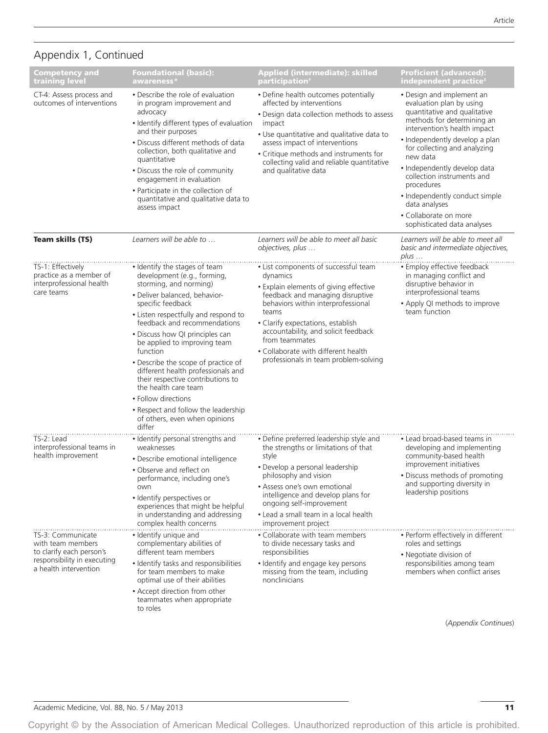| <b>Competency and</b><br>training level                                                                                    | <b>Foundational (basic):</b><br>awareness'                                                                                                                                                                                                                                                                                                                                                                                                                                                                                                             | <b>Applied (intermediate): skilled</b><br>participation'                                                                                                                                                                                                                                                                                                     | <b>Proficient (advanced):</b><br>independent practice <sup>®</sup>                                                                                                                                                                                                                                                                                                                                                       |
|----------------------------------------------------------------------------------------------------------------------------|--------------------------------------------------------------------------------------------------------------------------------------------------------------------------------------------------------------------------------------------------------------------------------------------------------------------------------------------------------------------------------------------------------------------------------------------------------------------------------------------------------------------------------------------------------|--------------------------------------------------------------------------------------------------------------------------------------------------------------------------------------------------------------------------------------------------------------------------------------------------------------------------------------------------------------|--------------------------------------------------------------------------------------------------------------------------------------------------------------------------------------------------------------------------------------------------------------------------------------------------------------------------------------------------------------------------------------------------------------------------|
| CT-4: Assess process and<br>outcomes of interventions                                                                      | • Describe the role of evaluation<br>in program improvement and<br>advocacy<br>• Identify different types of evaluation<br>and their purposes<br>• Discuss different methods of data<br>collection, both qualitative and<br>quantitative<br>• Discuss the role of community<br>engagement in evaluation<br>• Participate in the collection of<br>quantitative and qualitative data to<br>assess impact                                                                                                                                                 | • Define health outcomes potentially<br>affected by interventions<br>• Design data collection methods to assess<br>impact<br>• Use quantitative and qualitative data to<br>assess impact of interventions<br>• Critique methods and instruments for<br>collecting valid and reliable quantitative<br>and qualitative data                                    | • Design and implement an<br>evaluation plan by using<br>quantitative and qualitative<br>methods for determining an<br>intervention's health impact<br>• Independently develop a plan<br>for collecting and analyzing<br>new data<br>• Independently develop data<br>collection instruments and<br>procedures<br>• Independently conduct simple<br>data analyses<br>• Collaborate on more<br>sophisticated data analyses |
| <b>Team skills (TS)</b>                                                                                                    | Learners will be able to                                                                                                                                                                                                                                                                                                                                                                                                                                                                                                                               | Learners will be able to meet all basic<br>objectives, plus                                                                                                                                                                                                                                                                                                  | Learners will be able to meet all<br>basic and intermediate objectives,<br>$plus \dots$                                                                                                                                                                                                                                                                                                                                  |
| TS-1: Effectively<br>practice as a member of<br>interprofessional health<br>care teams                                     | • Identify the stages of team<br>development (e.g., forming,<br>storming, and norming)<br>· Deliver balanced, behavior-<br>specific feedback<br>• Listen respectfully and respond to<br>feedback and recommendations<br>• Discuss how QI principles can<br>be applied to improving team<br>function<br>• Describe the scope of practice of<br>different health professionals and<br>their respective contributions to<br>the health care team<br>• Follow directions<br>• Respect and follow the leadership<br>of others, even when opinions<br>differ | • List components of successful team<br>dynamics<br>• Explain elements of giving effective<br>feedback and managing disruptive<br>behaviors within interprofessional<br>teams<br>· Clarify expectations, establish<br>accountability, and solicit feedback<br>from teammates<br>• Collaborate with different health<br>professionals in team problem-solving | • Employ effective feedback<br>in managing conflict and<br>disruptive behavior in<br>interprofessional teams<br>• Apply QI methods to improve<br>team function                                                                                                                                                                                                                                                           |
| TS-2: Lead<br>interprofessional teams in<br>health improvement                                                             | • Identify personal strengths and<br>weaknesses<br>• Describe emotional intelligence<br>• Observe and reflect on<br>performance, including one's<br>• Identify perspectives or<br>experiences that might be helpful<br>in understanding and addressing<br>complex health concerns                                                                                                                                                                                                                                                                      | • Define preferred leadership style and<br>the strengths or limitations of that<br>style<br>• Develop a personal leadership<br>philosophy and vision<br>• Assess one's own emotional<br>intelligence and develop plans for<br>ongoing self-improvement<br>• Lead a small team in a local health<br>improvement project                                       | • Lead broad-based teams in<br>developing and implementing<br>community-based health<br>improvement initiatives<br>• Discuss methods of promoting<br>and supporting diversity in<br>leadership positions                                                                                                                                                                                                                 |
| TS-3: Communicate<br>with team members<br>to clarify each person's<br>responsibility in executing<br>a health intervention | • Identify unique and<br>complementary abilities of<br>different team members<br>• Identify tasks and responsibilities<br>for team members to make<br>optimal use of their abilities<br>• Accept direction from other<br>teammates when appropriate<br>to roles                                                                                                                                                                                                                                                                                        | • Collaborate with team members<br>to divide necessary tasks and<br>responsibilities<br>• Identify and engage key persons<br>missing from the team, including<br>nonclinicians                                                                                                                                                                               | • Perform effectively in different<br>roles and settings<br>• Negotiate division of<br>responsibilities among team<br>members when conflict arises<br>(Appendix Continues)                                                                                                                                                                                                                                               |

Academic Medicine, Vol. 88, No. 5 / May 2013 11